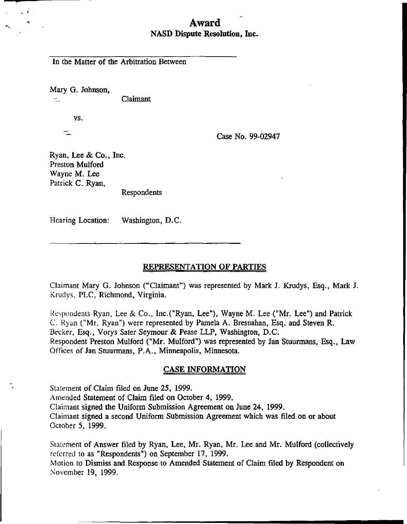## Award NASD Dispute Resolution, Inc.

In the Matter of the Arbitration Between

Mary G. Johnson, -:\_. Claimant

vs.

Case No. 99-02947

Ryan, Lee & Co., Inc. Preston Mulford Wayne M. Lee Patrick C. Ryan,

Respondents

Hearing Location: Washington, D.C.

REPRESENTATION OF PARTIES

Claimant Mary G. Johnson ("Claimant") was represented by Mark J. Krudys, Esq., Mark J. Krudys, PLC, Richmond, Virginia.

Respondents Ryan, Lee & Co., Inc.("Ryan, Lee"), Wayne M. Lee ("Mr. Lee") and Patrick C. Ryan ("Mr. Ryan") were represented by Pamela A. Bresnahan, Esq. and Steven R. Becker, Esq., Vorys Sater Seymour & Pease LLP, Washington, D.C. Respondent Preston Mulford ("Mr. Mulford") was represented by Jan Stuurmans, Esq., Law Offices of Jan Stuurmans, P.A., Minneapolis, Minnesota.

#### CASE INFORMATION

Statement of Claim filed on June 25, 1999. Amended Statement of Claim filed on October 4, 1999. Claimant signed the Uniform Submission Agreement on June 24, 1999. Claimant signed a second Uniform Submission Agreement which was filed on or about October 5, 1999.

Statement of Answer filed by Ryan, Lee, Mr. Ryan, Mr. Lee and Mr. Mulford (collectively referred to as "Respondents") on September 17, 1999.

Motion to Dismiss and Response to Amended Statement of Claim filed by Respondent on November 19, 1999.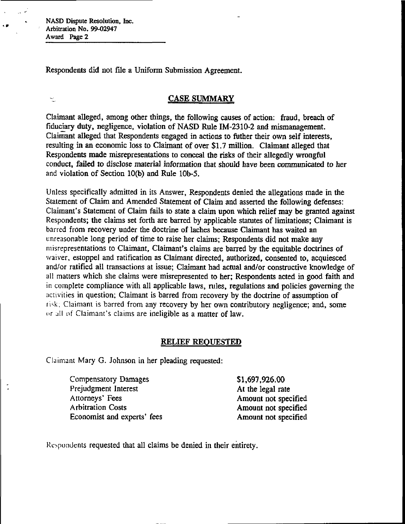$\Delta \sim 8$ 

 $\frac{1}{2}$ 

 $\bullet$ 

Respondents did not file a Uniform Submission Agreement.

## CASE SUMMARY

Claimant alleged, among other things, the following causes of action: fraud, breach of fiduciary duty, negligence, violation of NASD Rule IM-2310-2 and mismanagement. Claimant alleged that Respondents engaged in actions to father their own self interests, resulting in an economic loss to Claimant of over \$1.7 million. Claimant alleged that Respondents made misrepresentations to conceal the risks of their allegedly wrongful conduct, failed to disclose material information that should have been communicated to her and violation of Section 10(b) and Rule 10b-5.

Unless specifically admitted in its Answer, Respondents denied the allegations made in the Statement of Claim and Amended Statement of Claim and asserted the following defenses: Claimant's Statement of Claim fails to state a claim upon which relief may be granted against Respondents; the claims set forth are barred by applicable statutes of limitations; Claimant is barred from recovery under the doctrine of laches because Claimant has waited an unreasonable long period of time to raise her claims; Respondents did not make any misrepresentations to Claimant, Claimant's claims are barred by the equitable doctrines of waiver, estoppel and ratification as Claimant directed, authorized, consented to, acquiesced and/or ratified all transactions at issue; Claimant had actual and/or constructive knowledge of all matters which she claims were misrepresented to her; Respondents acted in good faith and in complete compliance with all applicable laws, rules, regulations and policies governing the activities in question; Claimant is barred from recovery by the doctrine of assumption of risk; Claimant is barred from any recovery by her own contributory negligence; and, some or all of Claimant's claims are ineligible as a matter of law.

## RELIEF REQUESTED

Claimant Mary G. Johnson in her pleading requested:

Compensatory Damages \$1,697,926.00<br>Prejudgment Interest the state of the legal rate Prejudgment Interest<br>Attorneys' Fees Arbitration Costs **Amount not specified** Economist and experts' fees Amount not specified

Amount not specified

Respondents requested that all claims be denied in their entirety.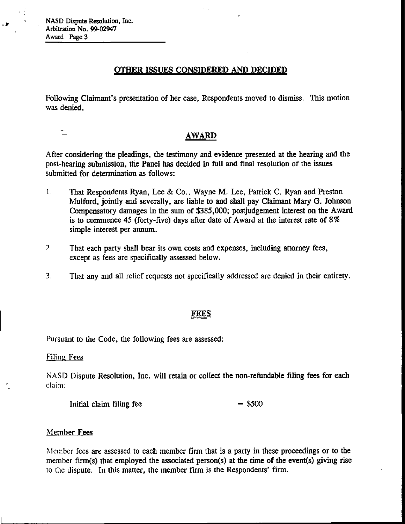## OTHER ISSUES CONSIDERED AND DECIDED

Following Claimant's presentation of her case, Respondents moved to dismiss. This motion was denied.

 $\equiv$ 

- 1

## AWARD

After considering the pleadings, the testimony and evidence presented at the hearing and the post-hearing submission, the Panel has decided in full and final resolution of the issues submitted for determination as follows:

- 1. That Respondents Ryan, Lee & Co., Wayne M. Lee, Patrick C. Ryan and Preston Mulford, jointly and severally, are liable to and shall pay Claimant Mary G. Johnson Compensatory damages in the sum of \$385,000; postjudgement interest on the Award is to commence 45 (forty-five) days after date of Award at the interest rate of 8 % simple interest per annum.
- 2. That each party shall bear its own costs and expenses, including attorney fees, except as fees are specifically assessed below.
- 3. That any and all relief requests not specifically addressed are denied in their entirety.

#### FEES

Pursuant to the Code, the following fees are assessed:

Filing Fees

NASD Dispute Resolution, Inc. will retain or collect the non-refundable filing fees for each claim:

Initial claim filing fee  $= $500$ 

#### Member Fees

Member fees are assessed to each member firm that is a party in these proceedings or to the member firm(s) that employed the associated person(s) at the time of the event(s) giving rise to the dispute. In this matter, the member firm is the Respondents' firm.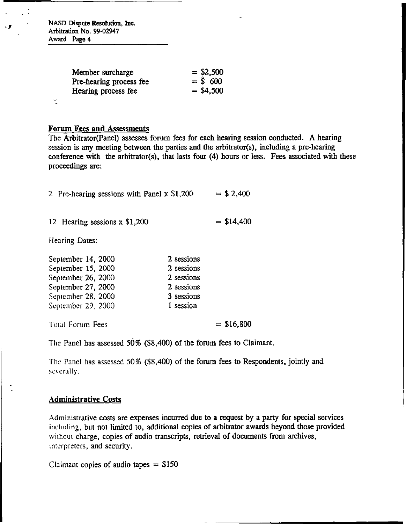| Member surcharge        | $=$ \$2,500 |
|-------------------------|-------------|
| Pre-hearing process fee | $=$ \$ 600  |
| Hearing process fee     | $= $4,500$  |
|                         |             |

#### Forum Fees and Assessments

The Arbitrator(Panel) assesses forum fees for each hearing session conducted. A hearing session is any meeting between the parties and the arbitrator(s), including a pre-hearing conference with the arbitrator(s), that lasts four (4) hours or less. Fees associated with these proceedings are:

| 2 Pre-hearing sessions with Panel x \$1,200 |  |  | $=$ \$ 2,400 |  |
|---------------------------------------------|--|--|--------------|--|
|                                             |  |  |              |  |

12 Hearing sessions x  $$1,200 = $14,400$ 

Hearing Dates:

Ŕ,

| 2 sessions |  |
|------------|--|
| 2 sessions |  |
| 2 sessions |  |
| 2 sessions |  |
| 3 sessions |  |
| 1 session  |  |
|            |  |
|            |  |

Total Forum Fees  $= $16,800$ 

The Panel has assessed 50% (\$8,400) of the forum fees to Claimant.

The Panel has assessed 50% (\$8,400) of the forum fees to Respondents, jointly and severally.

### Administrative Costs

Administrative costs are expenses incurred due to a request by a party for special services including, but not limited to, additional copies of arbitrator awards beyond those provided without charge, copies of audio transcripts, retrieval of documents from archives, interpreters, and security.

Claimant copies of audio tapes  $= $150$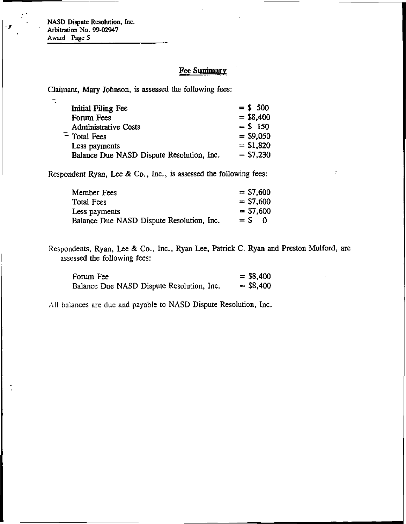$\mathbb{U}$ 

## **Fee Summary**

Claimant, Mary Johnson, is assessed the following fees:

| Initial Filing Fee                        | $= $500$    |
|-------------------------------------------|-------------|
| Forum Fees                                | $= $8,400$  |
| <b>Administrative Costs</b>               | $= $150$    |
| $-$ Total Fees                            | $=$ \$9,050 |
| Less payments                             | $= $1,820$  |
| Balance Due NASD Dispute Resolution, Inc. | $= $7,230$  |

Respondent Ryan, Lee & Co., Inc., is assessed the following fees:

| Member Fees                               | $= $7,600$   |
|-------------------------------------------|--------------|
| Total Fees                                | $= $7,600$   |
| Less payments                             | $=$ \$7,600  |
| Balance Due NASD Dispute Resolution, Inc. | $=$ S<br>- 0 |

Respondents, Ryan, Lee & Co., Inc., Ryan Lee, Patrick C. Ryan and Preston Mulford, are assessed the following fees:

| Forum Fee                                 | $=$ \$8,400 |
|-------------------------------------------|-------------|
| Balance Due NASD Dispute Resolution, Inc. | $=$ \$8,400 |

All balances are due and payable to NASD Dispute Resolution, Inc.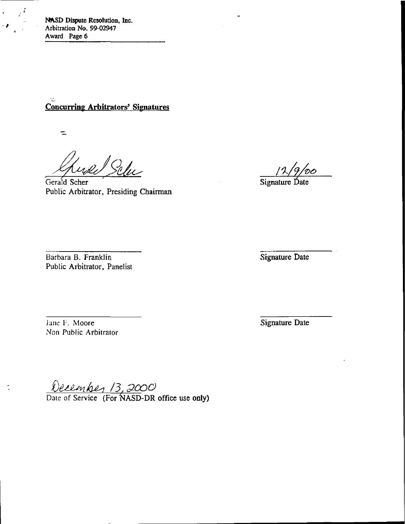**Concurring Arbitrators' Signatures** 

 $\equiv$ 

 $\hat{\mathbf{r}}$ 

 $\ddot{\phantom{a}}$ 

well Selve

Gerald Scher Signature Date Public Arbitrator, Presiding Chairman

'DO

Barbara B. Franklin Signature Date Public Arbitrator, Panelist

Jane F. Moore Signature Date Non Public Arbitrator

/3

Date of Service (For NASD-DR office use only)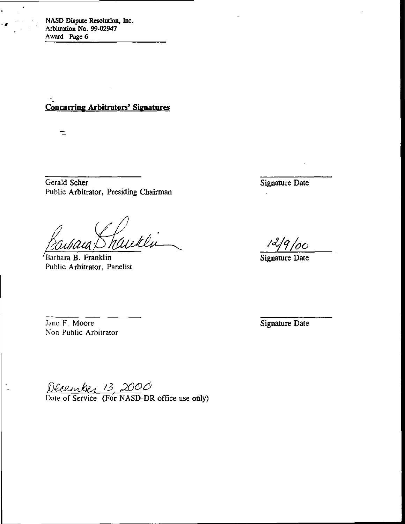Concurring Arbitrators' Signatures

 $\equiv$ 

Gerald Scher Signature Date Public Arbitrator, Presiding Chairman

e ff<br>hauklu Barbara B. Franklin Signature Date

Public Arbitrator, Panelist

Jane F. Moore Signature Date Signature Date Non Public Arbitrator

December 13, 2000<br>Date of Service (For NASD-DR office use only)